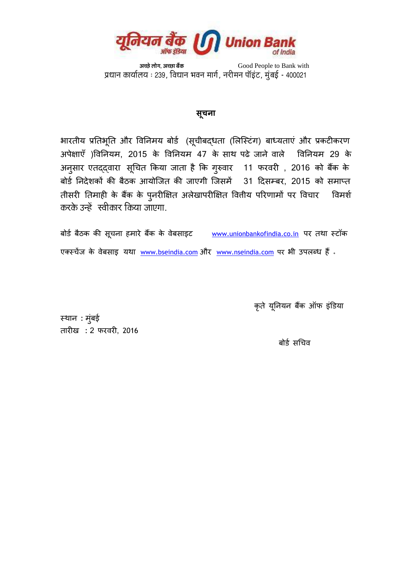

 *'ãÞœñ ÊããñØã, 'ãޜ㠺ãö‡ãŠ* Good People to Bank with प्रधान कार्योलय : 239, विधान भवन मार्ग, नरीमन पॉइट, मुंबई - 400021 ़

## **सूचना**

भारतीय प्रतिभूति और विनिमय बोर्ड (सूचीबद्धता (लिस्टिंग) बाध्यताएं और प्रकटीकरण अपेक्षाएँ )विनियम, 2015 के विनियम 47 के साथ पढे जाने वाले विनियम 29 के अनुसार एतद्द्वारा सूचित किया जाता है कि गुरुवार 11 फरवरी , 2016 को बैंक के फोडड तनदेशकों की फैठक आमोसजत की जाएगी सजसभें 31 ददसम्फय, 2015 को सभाप्त तीसरी तिमाही के बैंक के पुनरीक्षित अलेखापरीक्षित वित्तीय परिणामों पर विचार विमर्श  $\overline{a}$ करके उन्हें स्वीकार किया जाएगा.

बोर्ड बैठक की सूचना हमारे बैंक के वेबसाइट [www.unionbankofindia.co.in](http://www.unionbankofindia.co.in/) पर तथा स्टॉक एक्स्चेंज के वेबसाइ यथा [www.bseindia.com](http://www.bseindia.com/) और [www.nseindia.com](http://www.nseindia.com/) पर भी उपलब्ध हैं .

कृते यूनियन बैंक ऑफ इंडिया

स्थान : मुंबई तायीख : 2 पयियी, 2016

बोर्ड सचिव